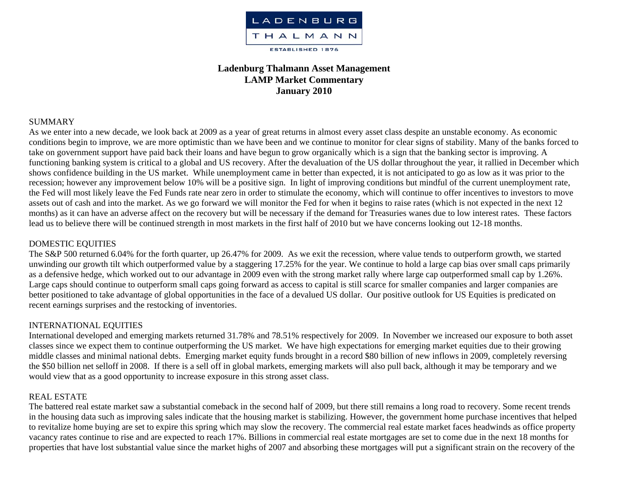

# **Ladenburg Thalmann Asset Management LAMP Market Commentary January 2010**

### SUMMARY

As we enter into a new decade, we look back at 2009 as a year of great returns in almost every asset class despite an unstable economy. As economic conditions begin to improve, we are more optimistic than we have been and we continue to monitor for clear signs of stability. Many of the banks forced to take on government support have paid back their loans and have begun to grow organically which is a sign that the banking sector is improving. A functioning banking system is critical to a global and US recovery. After the devaluation of the US dollar throughout the year, it rallied in December which shows confidence building in the US market. While unemployment came in better than expected, it is not anticipated to go as low as it was prior to the recession; however any improvement below 10% will be a positive sign. In light of improving conditions but mindful of the current unemployment rate, the Fed will most likely leave the Fed Funds rate near zero in order to stimulate the economy, which will continue to offer incentives to investors to move assets out of cash and into the market. As we go forward we will monitor the Fed for when it begins to raise rates (which is not expected in the next 12 months) as it can have an adverse affect on the recovery but will be necessary if the demand for Treasuries wanes due to low interest rates. These factors lead us to believe there will be continued strength in most markets in the first half of 2010 but we have concerns looking out 12-18 months.

# DOMESTIC EQUITIES

The S&P 500 returned 6.04% for the forth quarter, up 26.47% for 2009. As we exit the recession, where value tends to outperform growth, we started unwinding our growth tilt which outperformed value by a staggering 17.25% for the year. We continue to hold a large cap bias over small caps primarily as a defensive hedge, which worked out to our advantage in 2009 even with the strong market rally where large cap outperformed small cap by 1.26%. Large caps should continue to outperform small caps going forward as access to capital is still scarce for smaller companies and larger companies are better positioned to take advantage of global opportunities in the face of a devalued US dollar. Our positive outlook for US Equities is predicated on recent earnings surprises and the restocking of inventories.

# INTERNATIONAL EQUITIES

International developed and emerging markets returned 31.78% and 78.51% respectively for 2009. In November we increased our exposure to both asset classes since we expect them to continue outperforming the US market. We have high expectations for emerging market equities due to their growing middle classes and minimal national debts. Emerging market equity funds brought in a record \$80 billion of new inflows in 2009, completely reversing the \$50 billion net selloff in 2008. If there is a sell off in global markets, emerging markets will also pull back, although it may be temporary and we would view that as a good opportunity to increase exposure in this strong asset class.

# REAL ESTATE

The battered real estate market saw a substantial comeback in the second half of 2009, but there still remains a long road to recovery. Some recent trends in the housing data such as improving sales indicate that the housing market is stabilizing. However, the government home purchase incentives that helped to revitalize home buying are set to expire this spring which may slow the recovery. The commercial real estate market faces headwinds as office property vacancy rates continue to rise and are expected to reach 17%. Billions in commercial real estate mortgages are set to come due in the next 18 months for properties that have lost substantial value since the market highs of 2007 and absorbing these mortgages will put a significant strain on the recovery of the